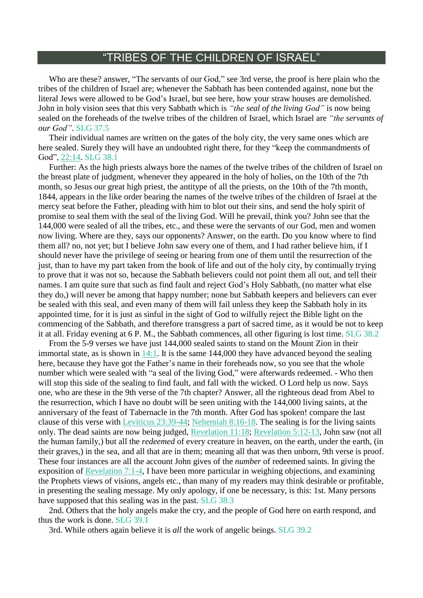## "TRIBES OF THE CHILDREN OF ISRAEL"

Who are these? answer, "The servants of our God," see 3rd verse, the proof is here plain who the tribes of the children of Israel are; whenever the Sabbath has been contended against, none but the literal Jews were allowed to be God's Israel, but see here, how your straw houses are demolished. John in holy vision sees that this very Sabbath which is *"the seal of the living God"* is now being sealed on the foreheads of the twelve tribes of the children of Israel, which Israel are *"the servants of our God"*. SLG 37.5

Their individual names are written on the gates of the holy city, the very same ones which are here sealed. Surely they will have an undoubted right there, for they "keep the commandments of God", [22:14.](https://m.egwwritings.org/en/book/1965.63446#63446) SLG 38.1

Further: As the high priests always bore the names of the twelve tribes of the children of Israel on the breast plate of judgment, whenever they appeared in the holy of holies, on the 10th of the 7th month, so Jesus our great high priest, the antitype of all the priests, on the 10th of the 7th month, 1844, appears in the like order bearing the names of the twelve tribes of the children of Israel at the mercy seat before the Father, pleading with him to blot out their sins, and send the holy spirit of promise to seal them with the seal of the living God. Will he prevail, think you? John see that the 144,000 were sealed of all the tribes, etc., and these were the servants of our God, men and women now living. Where are they, says our opponents? Answer, on the earth. Do you know where to find them all? no, not yet; but I believe John saw every one of them, and I had rather believe him, if I should never have the privilege of seeing or hearing from one of them until the resurrection of the just, than to have my part taken from the book of life and out of the holy city, by continually trying to prove that it was not so, because the Sabbath believers could not point them all out, and tell their names. I am quite sure that such as find fault and reject God's Holy Sabbath, (no matter what else they do,) will never be among that happy number; none but Sabbath keepers and believers can ever be sealed with this seal, and even many of them will fail unless they keep the Sabbath holy in its appointed time, for it is just as sinful in the sight of God to wilfully reject the Bible light on the commencing of the Sabbath, and therefore transgress a part of sacred time, as it would be not to keep it at all. Friday evening at 6 P. M., the Sabbath commences, all other figuring is lost time. SLG 38.2

From the 5-9 verses we have just 144,000 sealed saints to stand on the Mount Zion in their immortal state, as is shown in [14:1.](https://m.egwwritings.org/en/book/1965.63104#63104) It is the same 144,000 they have advanced beyond the sealing here, because they have got the Father's name in their foreheads now, so you see that the whole number which were sealed with "a seal of the living God," were afterwards redeemed. - Who then will stop this side of the sealing to find fault, and fall with the wicked. O Lord help us now. Says one, who are these in the 9th verse of the 7th chapter? Answer, all the righteous dead from Abel to the resurrection, which I have no doubt will be seen uniting with the 144,000 living saints, at the anniversary of the feast of Tabernacle in the 7th month. After God has spoken! compare the last clause of this verse with Leviticus [23:39-44;](https://m.egwwritings.org/en/book/1965.7001#7001) [Nehemiah](https://m.egwwritings.org/en/book/1965.25458#25458) 8:16-18. The sealing is for the living saints only. The dead saints are now being judged, [Revelation](https://m.egwwritings.org/en/book/1965.63027#63027) 11:18; [Revelation](https://m.egwwritings.org/en/book/1965.62823#62823) 5:12-13, John saw (not all the human family,) but all the *redeemed* of every creature in heaven, on the earth, under the earth, (in their graves,) in the sea, and all that are in them; meaning all that was then unborn, 9th verse is proof. These four instances are all the account John gives of the *number* of redeemed saints. In giving the exposition of [Revelation](https://m.egwwritings.org/en/book/1965.62865#62865) 7:1-4, I have been more particular in weighing objections, and examining the Prophets views of visions, angels etc., than many of my readers may think desirable or profitable, in presenting the sealing message. My only apology, if one be necessary, is this: 1st. Many persons have supposed that this sealing was in the past. SLG 38.3

2nd. Others that the holy angels make the cry, and the people of God here on earth respond, and thus the work is done. SLG 39.1

3rd. While others again believe it is *all* the work of angelic beings. SLG 39.2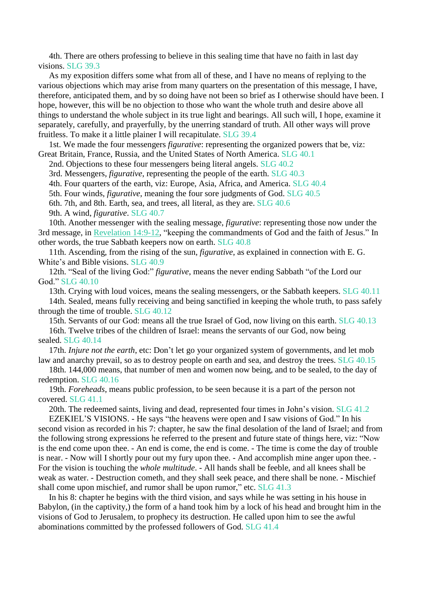4th. There are others professing to believe in this sealing time that have no faith in last day visions. SLG 39.3

As my exposition differs some what from all of these, and I have no means of replying to the various objections which may arise from many quarters on the presentation of this message, I have, therefore, anticipated them, and by so doing have not been so brief as I otherwise should have been. I hope, however, this will be no objection to those who want the whole truth and desire above all things to understand the whole subject in its true light and bearings. All such will, I hope, examine it separately, carefully, and prayerfully, by the unerring standard of truth. All other ways will prove fruitless. To make it a little plainer I will recapitulate. SLG 39.4

1st. We made the four messengers *figurative*: representing the organized powers that be, viz: Great Britain, France, Russia, and the United States of North America. SLG 40.1

2nd. Objections to these four messengers being literal angels. SLG 40.2

3rd. Messengers, *figurative*, representing the people of the earth. SLG 40.3

4th. Four quarters of the earth, viz: Europe, Asia, Africa, and America. SLG 40.4

5th. Four winds, *figurative*, meaning the four sore judgments of God. SLG 40.5

6th. 7th, and 8th. Earth, sea, and trees, all literal, as they are. SLG 40.6

9th. A wind, *figurative*. SLG 40.7

10th. Another messenger with the sealing message, *figurative*: representing those now under the 3rd message, in [Revelation](https://m.egwwritings.org/en/book/1965.63120#63120) 14:9-12, "keeping the commandments of God and the faith of Jesus." In other words, the true Sabbath keepers now on earth. SLG 40.8

11th. Ascending, from the rising of the sun, *figurative*, as explained in connection with E. G. White's and Bible visions. SLG 40.9

12th. "Seal of the living God:" *figurative*, means the never ending Sabbath "of the Lord our God." SLG 40.10

13th. Crying with loud voices, means the sealing messengers, or the Sabbath keepers. SLG 40.11

14th. Sealed, means fully receiving and being sanctified in keeping the whole truth, to pass safely through the time of trouble. SLG 40.12

15th. Servants of our God: means all the true Israel of God, now living on this earth. SLG 40.13

16th. Twelve tribes of the children of Israel: means the servants of our God, now being sealed. SLG 40.14

17th. *Injure not the earth*, etc: Don't let go your organized system of governments, and let mob law and anarchy prevail, so as to destroy people on earth and sea, and destroy the trees. SLG 40.15

18th. 144,000 means, that number of men and women now being, and to be sealed, to the day of redemption. SLG 40.16

19th. *Foreheads*, means public profession, to be seen because it is a part of the person not covered. SLG 41.1

20th. The redeemed saints, living and dead, represented four times in John's vision. SLG 41.2

EZEKIEL'S VISIONS. - He says "the heavens were open and I saw visions of God." In his second vision as recorded in his 7: chapter, he saw the final desolation of the land of Israel; and from the following strong expressions he referred to the present and future state of things here, viz: "Now is the end come upon thee. - An end is come, the end is come. - The time is come the day of trouble is near. - Now will I shortly pour out my fury upon thee. - And accomplish mine anger upon thee. - For the vision is touching the *whole multitude*. - All hands shall be feeble, and all knees shall be weak as water. - Destruction cometh, and they shall seek peace, and there shall be none. - Mischief shall come upon mischief, and rumor shall be upon rumor," etc. SLG 41.3

In his 8: chapter he begins with the third vision, and says while he was setting in his house in Babylon, (in the captivity,) the form of a hand took him by a lock of his head and brought him in the visions of God to Jerusalem, to prophecy its destruction. He called upon him to see the awful abominations committed by the professed followers of God. SLG 41.4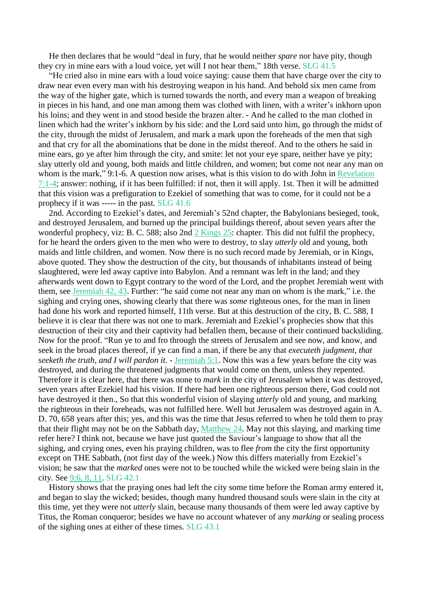He then declares that he would "deal in fury, that he would neither *spare* nor have pity, though they cry in mine ears with a loud voice, yet will I not hear them," 18th verse. SLG 41.5

"He cried also in mine ears with a loud voice saying: cause them that have charge over the city to draw near even every man with his destroying weapon in his hand. And behold six men came from the way of the higher gate, which is turned towards the north, and every man a weapon of breaking in pieces in his hand, and one man among them was clothed with linen, with a writer's inkhorn upon his loins; and they went in and stood beside the brazen alter. - And he called to the man clothed in linen which had the writer's inkhorn by his side: and the Lord said unto him, go through the midst of the city, through the midst of Jerusalem, and mark a mark upon the foreheads of the men that sigh and that cry for all the abominations that be done in the midst thereof. And to the others he said in mine ears, go ye after him through the city, and smite: let not your eye spare, neither have ye pity; slay utterly old and young, both maids and little children, and women; but come not near any man on whom is the mark," 9:1-6. A question now arises, what is this vision to do with John in [Revelation](https://m.egwwritings.org/en/book/1965.62865#62865) [7:1-4;](https://m.egwwritings.org/en/book/1965.62865#62865) answer: nothing, if it has been fulfilled: if not, then it will apply. 1st. Then it will be admitted that this vision was a prefiguration to Ezekiel of something that was to come, for it could not be a prophecy if it was ----- in the past. SLG 41.6

2nd. According to Ezekiel's dates, and Jeremiah's 52nd chapter, the Babylonians besieged, took, and destroyed Jerusalem, and burned up the principal buildings thereof, about seven years after the wonderful prophecy, viz: B. C. 588; also 2nd 2 [Kings](https://m.egwwritings.org/en/book/1965.20799#20799) 25: chapter. This did not fulfil the prophecy, for he heard the orders given to the men who were to destroy, to slay *utterly* old and young, both maids and little children, and women. Now there is no such record made by Jeremiah, or in Kings, above quoted. They show the destruction of the city, but thousands of inhabitants instead of being slaughtered, were led away captive into Babylon. And a remnant was left in the land; and they afterwards went down to Egypt contrary to the word of the Lord, and the prophet Jeremiah went with them, see [Jeremiah](https://m.egwwritings.org/en/book/1965.40766#40766) 42, 43. Further: "he said come not near any man on whom is the mark," i.e. the sighing and crying ones, showing clearly that there was *some* righteous ones, for the man in linen had done his work and reported himself, 11th verse. But at this destruction of the city, B. C. 588, I believe it is clear that there was not one to mark. Jeremiah and Ezekiel's prophecies show that this destruction of their city and their captivity had befallen them, because of their continued backsliding. Now for the proof. "Run ye to and fro through the streets of Jerusalem and see now, and know, and seek in the broad places thereof, if ye can find a man, if there be any that *executeth judgment, that seeketh the truth, and I will pardon it.* - [Jeremiah](https://m.egwwritings.org/en/book/1965.38895#38895) 5:1. Now this was a few years before the city was destroyed, and during the threatened judgments that would come on them, unless they repented. Therefore it is clear here, that there was none to *mark* in the city of Jerusalem when it was destroyed, seven years after Ezekiel had his vision. If there had been one righteous person there, God could not have destroyed it then., So that this wonderful vision of slaying *utterly* old and young, and marking the righteous in their foreheads, was not fulfilled here. Well but Jerusalem was destroyed again in A. D. 70, 658 years after this; yes, and this was the time that Jesus referred to when he told them to pray that their flight may not be on the Sabbath day, [Matthew](https://m.egwwritings.org/en/book/1965.48912#48912) 24. May not this slaying, and marking time refer here? I think not, because we have just quoted the Saviour's language to show that all the sighing, and crying ones, even his praying children, was to flee *from* the city the first opportunity except on THE Sabbath, (not first day of the week.) Now this differs materially from Ezekiel's vision; he saw that the *marked* ones were not to be touched while the wicked were being slain in the city. See [9:6,](https://m.egwwritings.org/en/book/1965.42096#42096) 8, 11. SLG 42.1

History shows that the praying ones had left the city some time before the Roman army entered it, and began to slay the wicked; besides, though many hundred thousand souls were slain in the city at this time, yet they were not *utterly* slain, because many thousands of them were led away captive by Titus, the Roman conqueror; besides we have no account whatever of any *marking* or sealing process of the sighing ones at either of these times. SLG 43.1